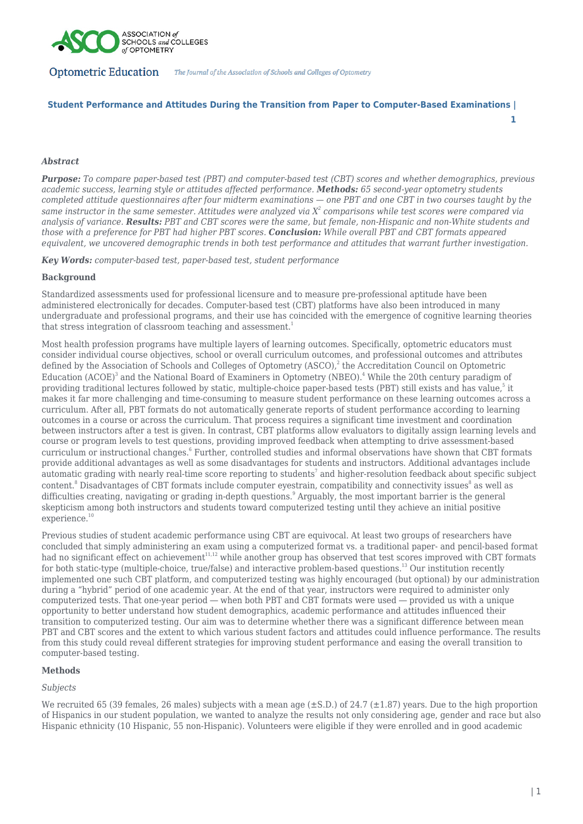

# **Student Performance and Attitudes During the Transition from Paper to Computer-Based Examinations |**

**1**

# *Abstract*

*Purpose: To compare paper-based test (PBT) and computer-based test (CBT) scores and whether demographics, previous academic success, learning style or attitudes affected performance. Methods: 65 second-year optometry students completed attitude questionnaires after four midterm examinations — one PBT and one CBT in two courses taught by the same instructor in the same semester. Attitudes were analyzed via X<sup>2</sup> comparisons while test scores were compared via analysis of variance. Results: PBT and CBT scores were the same, but female, non-Hispanic and non-White students and those with a preference for PBT had higher PBT scores. Conclusion: While overall PBT and CBT formats appeared equivalent, we uncovered demographic trends in both test performance and attitudes that warrant further investigation.*

*Key Words: computer-based test, paper-based test, student performance*

## **Background**

Standardized assessments used for professional licensure and to measure pre-professional aptitude have been administered electronically for decades. Computer-based test (CBT) platforms have also been introduced in many undergraduate and professional programs, and their use has coincided with the emergence of cognitive learning theories that stress integration of classroom teaching and assessment.<sup>1</sup>

Most health profession programs have multiple layers of learning outcomes. Specifically, optometric educators must consider individual course objectives, school or overall curriculum outcomes, and professional outcomes and attributes defined by the Association of Schools and Colleges of Optometry  $(ASCO)<sup>2</sup>$ , the Accreditation Council on Optometric Education (ACOE)<sup>3</sup> and the National Board of Examiners in Optometry (NBEO).<sup>4</sup> While the 20th century paradigm of providing traditional lectures followed by static, multiple-choice paper-based tests (PBT) still exists and has value, $^5$  it makes it far more challenging and time-consuming to measure student performance on these learning outcomes across a curriculum. After all, PBT formats do not automatically generate reports of student performance according to learning outcomes in a course or across the curriculum. That process requires a significant time investment and coordination between instructors after a test is given. In contrast, CBT platforms allow evaluators to digitally assign learning levels and course or program levels to test questions, providing improved feedback when attempting to drive assessment-based curriculum or instructional changes.<sup>6</sup> Further, controlled studies and informal observations have shown that CBT formats provide additional advantages as well as some disadvantages for students and instructors. Additional advantages include automatic grading with nearly real-time score reporting to students<sup>7</sup> and higher-resolution feedback about specific subject content.<sup>8</sup> Disadvantages of CBT formats include computer eyestrain, compatibility and connectivity issues<sup>8</sup> as well as difficulties creating, navigating or grading in-depth questions.<sup>9</sup> Arguably, the most important barrier is the general skepticism among both instructors and students toward computerized testing until they achieve an initial positive experience.<sup>10</sup>

Previous studies of student academic performance using CBT are equivocal. At least two groups of researchers have concluded that simply administering an exam using a computerized format vs. a traditional paper- and pencil-based format had no significant effect on achievement<sup>11,12</sup> while another group has observed that test scores improved with CBT formats for both static-type (multiple-choice, true/false) and interactive problem-based questions.<sup>13</sup> Our institution recently implemented one such CBT platform, and computerized testing was highly encouraged (but optional) by our administration during a "hybrid" period of one academic year. At the end of that year, instructors were required to administer only computerized tests. That one-year period ― when both PBT and CBT formats were used ― provided us with a unique opportunity to better understand how student demographics, academic performance and attitudes influenced their transition to computerized testing. Our aim was to determine whether there was a significant difference between mean PBT and CBT scores and the extent to which various student factors and attitudes could influence performance. The results from this study could reveal different strategies for improving student performance and easing the overall transition to computer-based testing.

# **Methods**

### *Subjects*

We recruited 65 (39 females, 26 males) subjects with a mean age  $(\pm S.D.)$  of 24.7  $(\pm 1.87)$  years. Due to the high proportion of Hispanics in our student population, we wanted to analyze the results not only considering age, gender and race but also Hispanic ethnicity (10 Hispanic, 55 non-Hispanic). Volunteers were eligible if they were enrolled and in good academic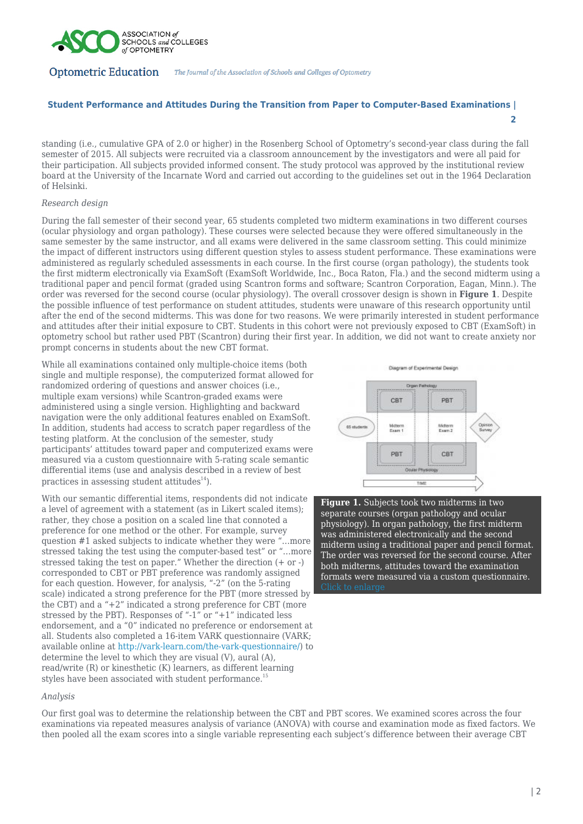

# **Student Performance and Attitudes During the Transition from Paper to Computer-Based Examinations | 2**

standing (i.e., cumulative GPA of 2.0 or higher) in the Rosenberg School of Optometry's second-year class during the fall semester of 2015. All subjects were recruited via a classroom announcement by the investigators and were all paid for their participation. All subjects provided informed consent. The study protocol was approved by the institutional review board at the University of the Incarnate Word and carried out according to the guidelines set out in the 1964 Declaration of Helsinki.

# *Research design*

During the fall semester of their second year, 65 students completed two midterm examinations in two different courses (ocular physiology and organ pathology). These courses were selected because they were offered simultaneously in the same semester by the same instructor, and all exams were delivered in the same classroom setting. This could minimize the impact of different instructors using different question styles to assess student performance. These examinations were administered as regularly scheduled assessments in each course. In the first course (organ pathology), the students took the first midterm electronically via ExamSoft (ExamSoft Worldwide, Inc., Boca Raton, Fla.) and the second midterm using a traditional paper and pencil format (graded using Scantron forms and software; Scantron Corporation, Eagan, Minn.). The order was reversed for the second course (ocular physiology). The overall crossover design is shown in **Figure 1**. Despite the possible influence of test performance on student attitudes, students were unaware of this research opportunity until after the end of the second midterms. This was done for two reasons. We were primarily interested in student performance and attitudes after their initial exposure to CBT. Students in this cohort were not previously exposed to CBT (ExamSoft) in optometry school but rather used PBT (Scantron) during their first year. In addition, we did not want to create anxiety nor prompt concerns in students about the new CBT format.

While all examinations contained only multiple-choice items (both single and multiple response), the computerized format allowed fo[r](https://journal.opted.org/wp-content/uploads/2019/11/F19.P2.Figure1.jpg) randomized ordering of questions and answer choices (i.e., multiple exam versions) while Scantron-graded exams were administered using a single version. Highlighting and backward navigation were the only additional features enabled on ExamSoft. In addition, students had access to scratch paper regardless of the testing platform. At the conclusion of the semester, study participants' attitudes toward paper and computerized exams were measured via a custom questionnaire with 5-rating scale semantic differential items (use and analysis described in a review of best practices in assessing student attitudes $^{14}$ ).

With our semantic differential items, respondents did not indicate a level of agreement with a statement (as in Likert scaled items); rather, they chose a position on a scaled line that connoted a preference for one method or the other. For example, survey question #1 asked subjects to indicate whether they were "…more stressed taking the test using the computer-based test" or "…more stressed taking the test on paper." Whether the direction (+ or -) corresponded to CBT or PBT preference was randomly assigned for each question. However, for analysis, "-2" (on the 5-rating scale) indicated a strong preference for the PBT (more stressed by the CBT) and a "+2" indicated a strong preference for CBT (more stressed by the PBT). Responses of "-1" or "+1" indicated less endorsement, and a "0" indicated no preference or endorsement at all. Students also completed a 16-item VARK questionnaire (VARK; available online at<http://vark-learn.com/the-vark-questionnaire/>) to determine the level to which they are visual (V), aural (A), read/write (R) or kinesthetic (K) learners, as different learning styles have been associated with student performance.<sup>15</sup>

# Disgram of Experimental Design CRT PRT **AS students** Midterm<br>Fram 7 CRT PRT

**Figure 1.** Subjects took two midterms in two separate courses (organ pathology and ocular physiology). In organ pathology, the first midterm was administered electronically and the second midterm using a traditional paper and pencil format. The order was reversed for the second course. After both midterms, attitudes toward the examination formats were measured via a custom questionnaire.

### *Analysis*

Our first goal was to determine the relationship between the CBT and PBT scores. We examined scores across the four examinations via repeated measures analysis of variance (ANOVA) with course and examination mode as fixed factors. We then pooled all the exam scores into a single variable representing each subject's difference between their average CBT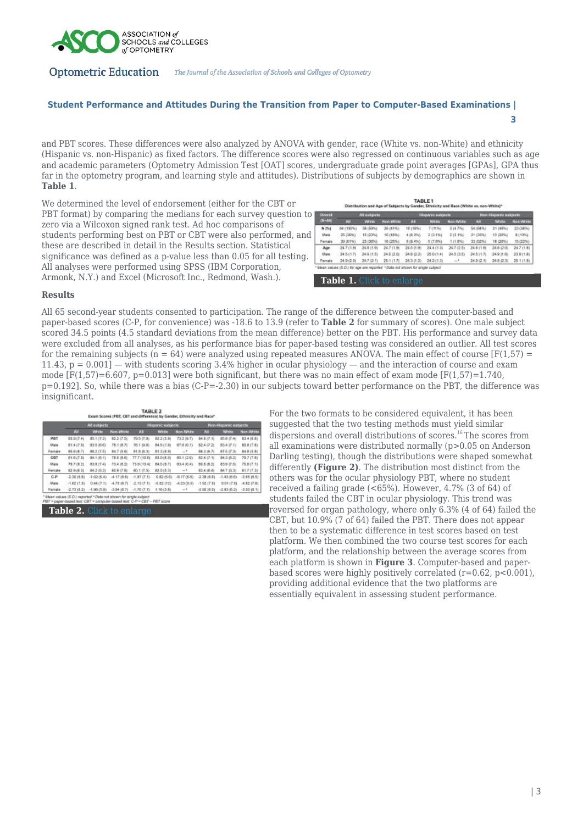

# **Student Performance and Attitudes During the Transition from Paper to Computer-Based Examinations | 3**

and PBT scores. These differences were also analyzed by ANOVA with gender, race (White vs. non-White) and ethnicity (Hispanic vs. non-Hispanic) as fixed factors. The difference scores were also regressed on continuous variables such as age and academic parameters (Optometry Admission Test [OAT] scores, undergraduate grade point averages [GPAs], GPA thus far in the optometry program, and learning style and attitudes). Distributions of subjects by demographics are shown in **Table 1**.

We determined the level of endorsement (either for the CBT or PBT format) by comparing the medians for each survey question to zero via a Wilcoxon signed rank test. Ad hoc comparisons of students performing best on PBT or CBT were also performed, and these are described in detail in the Results section. Statistical significance was defined as a p-value less than 0.05 for all testing. All analyses were performed using SPSS (IBM Corporation, Armonk, N.Y.) and Excel (Microsoft Inc., Redmond, Wash.).

| Overall<br>$01 - 54$ | All subjects |              |                   | Hispanic subjects |              |           | Non-Hispanic subjects |            |                  |
|----------------------|--------------|--------------|-------------------|-------------------|--------------|-----------|-----------------------|------------|------------------|
|                      | m            | <b>White</b> | <b>Non-Walter</b> | A.                | <b>White</b> | Non-White | <b>ALL</b>            | Whitte     | <b>Non-White</b> |
| <b>N (%)</b>         | 64 (100%).   | 38.19951     | 26 (41%)          | 10 (19%)          | 7 (11%)      | 3 (4.7%)  | 54 (94%)              | 31 (49%)   | 23 (38%)         |
| Male                 | 25 (39%)     | 15 (23%)     | 10 (18%)          | 4 (6.3%)          | 2(3.1%)      | 2 (3.1%)  | 21 (33%)              | 13 (20%)   | 813261           |
| Fornida              | 39 (61%)     | 23-(30%).    | <b>16 (26%)</b>   | 6.19.4%)          | 5 (7.8%)     | 111,6%    | 33 (52%)              | 18-128%)   | 95 (23%):        |
| Age.                 | 24.7 (1.6)   | 24.8 (1.9)   | 24.7 (1.8)        | $-24.5 + 0.0$     | 24.4 (1.3)   | 247-02-91 | 24.8 (1.9)            | 24.8 (2.0) | $24.7$ (1.8)     |
| Male                 | 24.5(1.7)    | 249(1.5)     | 24.012.06         | 24.8 (2.2)        | 25.011.41    | 24.5(3.5) | 24.5(1.7)             | $24.9 + 5$ | 23.911.81        |
| Female               | 24.9 (2.0)   | 24.7 (2.1)   | 25.1 (1.7)        | 24.3 (1.2)        | 24.2 (1.2)   | $-1$      | 24.9 (2.1)            | 24.8(2.3)  | 25.1 (1.8)       |

**Table 1.** [Click to enlarge](https://journal.opted.org/wp-content/uploads/2019/11/F19P2.Table1_.jpg)

### **Results**

All 65 second-year students consented to participation. The range of the difference between the computer-based and paper-based scores (C-P, for convenience) was -18.6 to 13.9 (refer to **Table 2** for summary of scores). One male subject scored 34.5 points (4.5 standard deviations from the mean difference) better on the PBT. His performance and survey data were excluded from all analyses, as his performance bias for paper-based testing was considered an outlier. All test scores for the remaining subjects ( $n = 64$ ) were analyzed using repeated measures ANOVA. The main effect of course [F(1,57) =  $11.43$ ,  $p = 0.001$  – with students scoring 3.4% higher in ocular physiology – and the interaction of course and exam mode  $[F(1,57)=6.607, p=0.013]$  were both significant, but there was no main effect of exam mode  $[F(1,57)=1.740, p=0.013]$ p=0.192]. So, while there was a bias (C-P=-2.30) in our subjects toward better performance on the PBT, the difference was insignificant.

|            | All aubjocts: |                             |               | Hispanic subjects  |              |                  | Non-Hispanic eublects |               |                |
|------------|---------------|-----------------------------|---------------|--------------------|--------------|------------------|-----------------------|---------------|----------------|
|            | ш             | <b>White</b>                | Non-Write     | AB                 | <b>White</b> | <b>Non-White</b> | ш                     | White         | Nice-White:    |
| PBT        | 83.9 (7.4)    | 85.1 (7.2)                  | 82.2 (7.5)    | 79.5 (7.9)         | 82 2 (5.9)   | 73.2 (9.7)       | 84.8 (7.1)            | 第5点(7.4)      | 83 4 (日 6)     |
| Male       | 81.4 (7.8)    | 83.5 (6.6)                  | 28.1 (8.7).   | 76.1-89.81         | 84.5 (1.9)   | 67.6 (0.1)       | 82.4 (7.2)            | 83.4 (7.1)    | 80.817.81      |
| Fernale    | 86.618.71     | 86.2 (7.5)                  | 84.7 (5.6)    | 81.8.80.33         | 81.8 (8.9)   | LL R             | 88.3 (8.7)            | 87.5 (7.3)    | 84.815.81      |
| <b>CBT</b> | 81.617.81     | 84.1 (6.1)                  | 78.0 (8.6)    | <b>77.7 (10.0)</b> | 03.018.01    | 05.1 (2.9)       | 82.4 (7.1)            | 84.3 (6.2)    | 79.7 (7.8)     |
| Malle      | 79.7 (9.2)    | 83.9 (7.4)                  | 23.4 (8.2)    | 73.9 (13.4)        | 84.5 (9.7)   | 63.4 (0.4)       | 60 8 (8.2)            | 83.9 (7.5)    | 75.9 (7.1)     |
| Female     | 83 9 (6 S)    | 84.2-55.31                  | 80.9 (7.8)    | 80.1 (7.5)         | $82.5$ (5.3) | ort.             | $83.4$ (6.4)          | <b>347 后泊</b> | 817 (7.3)      |
| $C-P$      | $-2.30$ (8.6) | $-1.02(6.4)$                | $-4.17$ (0.0) | $-4.87(7.1)$       | 0.82 (5.6)   | -8.17 (6.8)      | $-2.38$ (0.6)         | $-1.43(6.6)$  | $-3.65$ (d. 5) |
| Male       | $-1.62$ (7:3) | 0.44(7.1)                   | 4万世九          | $-2.13(7.15)$      | -0.02 (12)   | $-4.23(0.3)$     | $-1.52$ ( $7.51$ )    | 0.6117.01     | $-4.82$ [7.61] |
| Female     |               | $-2.73$ (8.2) $-1.96$ (5.0) | $-3.84$ (8.7) | $-1.70(7.7)$       | 1.16(3.6)    | $-1$             | $-2.90$ (0.0)         | $-2.83(6.2)$  | $-3.03 + 0.11$ |

Table 2. Click to enlard

For the two formats to be considered equivalent, it has been suggested that the two testing methods must yield similar dispersions and overall distributions of scores.<sup>16</sup>The scores from all examinations were distributed normally (p>0.05 on Anderson Darling testing), though the distributions were shaped somewhat differently **(Figure 2)**. The distribution most distinct from the others was for the ocular physiology PBT, where no student received a failing grade (<65%). However, 4.7% (3 of 64) of students failed the CBT in ocular physiology. This trend was reversed for organ pathology, where only 6.3% (4 of 64) failed the CBT, but 10.9% (7 of 64) failed the PBT. There does not appear then to be a systematic difference in test scores based on test platform. We then combined the two course test scores for each platform, and the relationship between the average scores from each platform is shown in **Figure 3**. Computer-based and paperbased scores were highly positively correlated  $(r=0.62, p<0.001)$ , providing additional evidence that the two platforms are essentially equivalent in assessing student performance.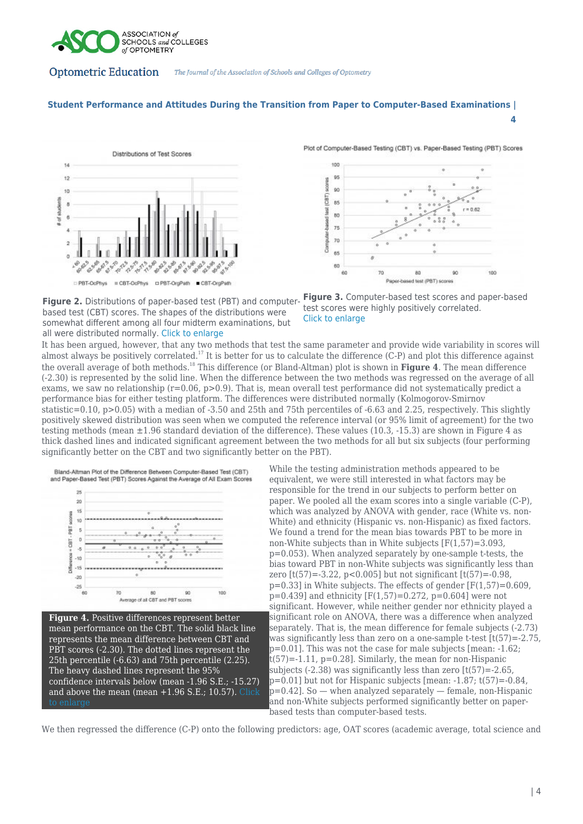

# **Student Performance and Attitudes During the Transition from Paper to Computer-Based Examinations |**





**4**

**Figure 2.** Distributions of paper-based test (PBT) and computerbased test (CBT) scores. The shapes of the distributions were somewhat different among all four midterm examinations, but all were distributed normally. [Click to enlarge](https://journal.opted.org/wp-content/uploads/2019/11/F19.P2.Figure2.jpg)



It has been argued, however, that any two methods that test the same parameter and provide wide variability in scores will almost always be positively correlated.<sup>17</sup> It is better for us to calculate the difference (C-P) and plot this difference against the overall average of both methods.<sup>18</sup> This difference (or Bland-Altman) plot is shown in **Figure 4**. The mean difference (-2.30) is represented by the solid line. When the difference between the two methods was regressed on the average of all exams, we saw no relationship  $(r=0.06, p>0.9)$ . That is, mean overall test performance did not systematically predict a performance bias for either testing platform. The differences were distributed normally (Kolmogorov-Smirnov statistic=0.10, p>0.05) with a median of -3.50 and 25th and 75th percentiles of -6.63 and 2.25, respectively. This slightly positively skewed distribution was seen when we computed the reference interval (or 95% limit of agreement) for the two testing methods (mean ±1.96 standard deviation of the difference). These values (10.3, -15.3) are shown in Figure 4 as thick dashed lines and indicated significant agreement between the two methods for all but six subjects (four performing significantly better on the CBT and two significantly better on the PBT).

Bland-Altman Plot of the Difference Between Computer-Based Test (CBT) and Paper-Based Test (PBT) Scores Against the Average of All Exam Scores



**Figure 4.** Positive differences represent better mean performance on the CBT. The solid black line represents the mean difference between CBT and PBT scores (-2.30). The dotted lines represent the 25th percentile (-6.63) and 75th percentile (2.25). The heavy dashed lines represent the 95% confidence intervals below (mean -1.96 S.E.; -15.27) and above the mean (mean +1.96 S.E.; 10.57). [Click](https://journal.opted.org/wp-content/uploads/2019/11/F19.P2.Figure4.jpg)

While the testing administration methods appeared to be equivalent, we were still interested in what factors may be responsible for the trend in our subjects to perform better on paper. We pooled all the exam scores into a single variable (C-P), which was analyzed by ANOVA with gender, race (White vs. non-White) and ethnicity (Hispanic vs. non-Hispanic) as fixed factors. We found a trend for the mean bias towards PBT to be more in non-White subjects than in White subjects [F(1,57)=3.093, p=0.053). When analyzed separately by one-sample t-tests, the bias toward PBT in non-White subjects was significantly less than zero  $[t(57)=-3.22, p<0.005]$  but not significant  $[t(57)=-0.98,$  $p=0.33$  in White subjects. The effects of gender  $[F(1.57)=0.609]$ .  $p=0.439$ ] and ethnicity  $[F(1.57)=0.272, p=0.604]$  were not significant. However, while neither gender nor ethnicity played a significant role on ANOVA, there was a difference when analyzed separately. That is, the mean difference for female subjects (-2.73) was significantly less than zero on a one-sample t-test [t(57)=-2.75, p=0.01]. This was not the case for male subjects [mean: -1.62;  $t(57) = -1.11$ ,  $p=0.28$ . Similarly, the mean for non-Hispanic subjects (-2.38) was significantly less than zero [t(57)=-2.65, p=0.01] but not for Hispanic subjects [mean: -1.87; t(57)=-0.84, p=0.42]. So — when analyzed separately — female, non-Hispanic and non-White subjects performed significantly better on paperbased tests than computer-based tests.

We then regressed the difference (C-P) onto the following predictors: age, OAT scores (academic average, total science and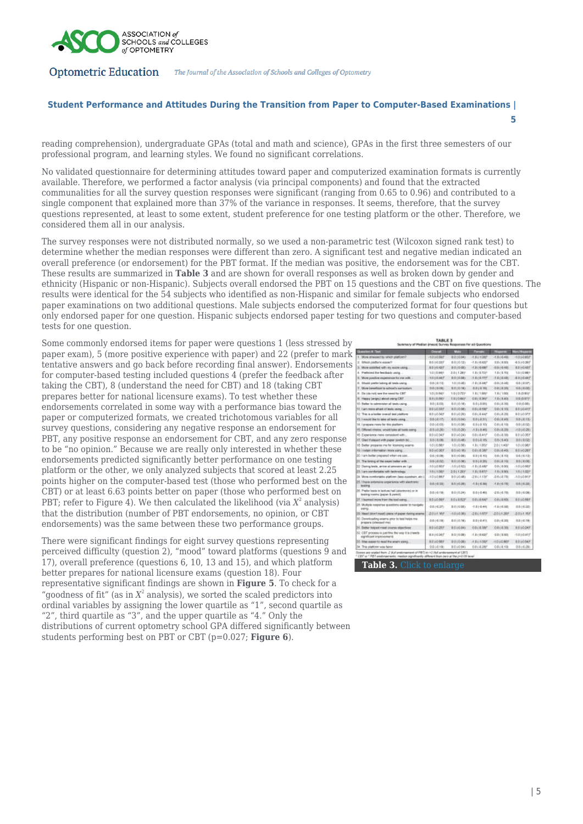

# **Student Performance and Attitudes During the Transition from Paper to Computer-Based Examinations |**

**5**

reading comprehension), undergraduate GPAs (total and math and science), GPAs in the first three semesters of our professional program, and learning styles. We found no significant correlations.

No validated questionnaire for determining attitudes toward paper and computerized examination formats is currently available. Therefore, we performed a factor analysis (via principal components) and found that the extracted communalities for all the survey question responses were significant (ranging from 0.65 to 0.96) and contributed to a single component that explained more than 37% of the variance in responses. It seems, therefore, that the survey questions represented, at least to some extent, student preference for one testing platform or the other. Therefore, we considered them all in our analysis.

The survey responses were not distributed normally, so we used a non-parametric test (Wilcoxon signed rank test) to determine whether the median responses were different than zero. A significant test and negative median indicated an overall preference (or endorsement) for the PBT format. If the median was positive, the endorsement was for the CBT. These results are summarized in **Table 3** and are shown for overall responses as well as broken down by gender and ethnicity (Hispanic or non-Hispanic). Subjects overall endorsed the PBT on 15 questions and the CBT on five questions. The results were identical for the 54 subjects who identified as non-Hispanic and similar for female subjects who endorsed paper examinations on two additional questions. Male subjects endorsed the computerized format for four questions but only endorsed paper for one question. Hispanic subjects endorsed paper testing for two questions and computer-based tests for one question.

Some commonly endorsed items for paper were questions 1 (less stressed by paper exam), 5 (more positive experience with paper) and 22 (prefer to mark tentative answers and go back before recording final answer). Endorsements for computer-based testing included questions 4 (prefer the feedback after taking the CBT), 8 (understand the need for CBT) and 18 (taking CBT prepares better for national licensure exams). To test whether these endorsements correlated in some way with a performance bias toward the paper or computerized formats, we created trichotomous variables for all survey questions, considering any negative response an endorsement for PBT, any positive response an endorsement for CBT, and any zero response to be "no opinion." Because we are really only interested in whether these endorsements predicted significantly better performance on one testing platform or the other, we only analyzed subjects that scored at least 2.25 points higher on the computer-based test (those who performed best on the CBT) or at least 6.63 points better on paper (those who performed best on PBT; refer to Figure 4). We then calculated the likelihood (via  $X^2$  analysis) that the distribution (number of PBT endorsements, no opinion, or CBT endorsements) was the same between these two performance groups.

There were significant findings for eight survey questions representing perceived difficulty (question 2), "mood" toward platforms (questions 9 and 17), overall preference (questions 6, 10, 13 and 15), and which platform better prepares for national licensure exams (question 18). Four representative significant findings are shown in **Figure 5**. To check for a "goodness of fit" (as in  $X^2$  analysis), we sorted the scaled predictors into ordinal variables by assigning the lower quartile as "1", second quartile as "2", third quartile as "3", and the upper quartile as "4." Only the distributions of current optometry school GPA differed significantly between students performing best on PBT or CBT (p=0.027; **Figure 6**).

| <b>Question # Test</b>                                                                    | Oneral                | Mala            | Forces                   | <b><i><u>Baparde</u></i></b> | <b>Nov-Hope</b> |
|-------------------------------------------------------------------------------------------|-----------------------|-----------------|--------------------------|------------------------------|-----------------|
| 1. More intressed by ruhich pratform?                                                     | $-1010.989$           | 8.010.80        | 1.81-1.007               | $-1.814448$                  | 1010.ET         |
| 2. R/N/A COMA'N GALWY                                                                     | 1010317               | <b>EO10.52)</b> | $-1.8 + 0.020$           | 0.8 < 0.001                  | 4510.397        |
| 3. More satisfied with im soons using                                                     | ED JO 437             | <b>EQ1020</b>   | $-1.3 + 0.080$           | 0.500.00                     | <b>IDIORIT</b>  |
| 4. Finite and the bendlash Leary                                                          | 1010/80               | 1011287         | 1.8 ( 9.72)              | 1.0 ( 0.70)                  | 1010期           |
| More positive experience for me will<br>×.                                                | $(1D10.44)^6$         | EGIORE          | <b>LECKTIF</b>           | 1.0 ( 0.42)                  | 4510.417        |
| Elhodd prefer lasting all tends using.<br>×.                                              | 0.0-10.10             | 1010401         | 3.014.487                | $-0.8$ $0.0$ $+0.0$          | 4.848.074       |
| τ.<br>More investigat is school's currentury                                              | 0.000.000             | <b>BOIDIK</b>   | $0.0 + 0.781$            | 0.8 ( 6.30)                  | 0.0 < 0.00      |
| 8. Da (da riol) see the rend for CRT                                                      | 1010/80               | 1010737         | 1.8 ( 1.08) <sup>*</sup> | 1.8 < 1.001                  | $1.0 (0.83)^2$  |
| 6. Harany jangry) almost saaring CBT.                                                     | 8月10月2                | TOIOMP          | ORYSMP                   | 18 (840)                     | O B (G ETF)     |
| 10. Baths: to administer all laws cains                                                   | 3.0-1.0.00            | <b>EQIDIE:</b>  | 0-3 (.8 05)              | 0.8 (.8.30)                  | 0.3 (0.86)      |
| 11. I am more athaid of tests using                                                       | <b>RELOAT</b>         | 1010年           | <b>OB CRISIL</b>         | 0.0 (1.10)                   | <b>BOLDAIY</b>  |
| 12. This is a better manual test platform                                                 | ROLOSCE               | 8010201         | 031487                   | 0.1(1.20)                    | BD LO 37F       |
| ES. I moused like his bake all brids using                                                | 改善必要する                | 101000          | 0.013311                 | 0.113.40                     | 3.04.0126       |
| 14. I prepare room for this platform                                                      | 0.010.000             | 801036          | 0.01-0.101               | $0.0113 + 00$                | 0.01402         |
| 15. Official chains, would loke all tools using                                           | 384020                | 1010281         | 111140                   | 0.8 (-8.0%)                  | 4.01020         |
| 10. Experience moss consiglent with:                                                      | ROSOMF                | 1010241         | OBGRAHE                  | 0.8 (-8.50)                  | 1010386         |
| IT. Glaci if stayed with paper juwilch to)                                                | 9.0-1 0.0%            | E010/05         | 0-31-8:4%                | 0.8 < 0.40                   | 801908          |
| 15. Selfar propares me for licensing searrs.                                              | 1010/02               | 1010.56         | 13 (1.052)               | 2.0-1.400                    | 1010089         |
| 19. I retein information more using.                                                      | R0103EF               | 1010/10         | 0.814.566                | 0.8114.401                   | 8.01-0.24 F     |
| 30. I am bother prepared when we use.                                                     | 0.010.000             | <b>BOI-OBB</b>  | 031-3.101                | 0.8 ( 8.10)                  | 0.6/0.12        |
| 21 The kinking of the cream bather with                                                   | 0.01.020              | 801030          | 091436                   | 0.011316                     | 0.0-1.0.00      |
| 32 Daring tests, arrive at atresers as I go                                               | 1010807               | 101033          | 1.1 (2.148)              | 0.0 < 0.00                   | 101000          |
| 33. Lam nonduriable sells bettevolegy                                                     | 1811005               | 2011207         | LECERTY                  | 1.8 (8.00)                   | 1611025         |
| 18. Mora comfortable platform (lass eyephain, alc.).                                      | $-101087$             | 101040          | 2164138                  | 0.87478                      | 101087          |
| 25. I have extensive organisms with alsolminic<br>testing                                 | 0.010.33              | 8.010.281       | $-1.2 + 4.306$           | $-1.01010$                   | 0.010.225       |
| 36. Pretion tussis in backuse half (quantitories) or in<br>leating rooms (paper & pencil) | 0.010.18              | 10 (0.24)       | $0.01 - 0.401$           | <b>Q.5 (-6.7%)</b>           | 0.00000         |
| IT. I learned more tram the test weing.                                                   | <b>ED-10 58Y</b>      | 0010527         | <b>O.E.C.L.GAIP</b>      | 0.8 (4.60)                   | <b>BOJOMY</b>   |
| 35. Multiple response questions easier to novigate:<br>sreing.                            | 0.010275              | E010001         | $-1.0 + 0.441$           | $-1.5(-0.50)$                | 0.0 (-0.22)     |
| 29. Need blom't reeft grece of paper during exams.                                        | 2011/07               | (1010.36)       | 2161877                  | 201120                       | 2011/07         |
| 30. Dennicoating exams prior to leat helps me-<br>prepare (pheased me)                    | 0.010.180             | 8/010/189       | $0.01 - 0.411$           | $0.8 + 4.201$                | 0.00038         |
| 31. Better beiged meat course staectives                                                  | 8.040.257             | 8010.80         | 0.814.386                | 0.8 (-8.00)                  | <b>BOJO24F</b>  |
| 32. CBT process is just fine the way it is sheech.<br>significant improvements            | 4310307               | SO100EL         | すぎでもあまず                  | $0.0613$ C                   | $-1010.417$     |
| 33. Was easier to read the exam aging.                                                    | <b><i>LOJOSEF</i></b> | 801000          | F.B.(-1.089)             | <b>IDJONY</b>                | <b>E01054F</b>  |
| 34. This platform was fairer                                                              | 0.510190              | 101030          | 0.8 (-8.286")            | 0.814.106                    | 0.046.286       |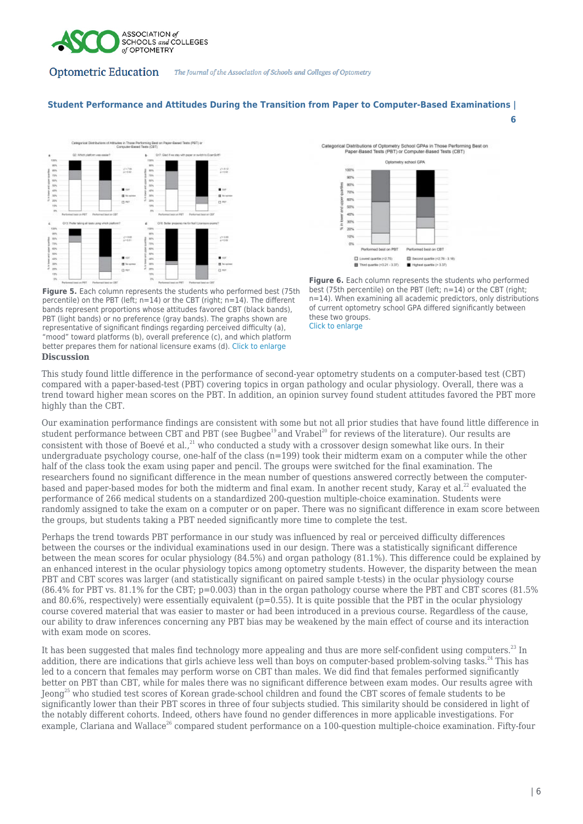

# **Student Performance and Attitudes During the Transition from Paper to Computer-Based Examinations |**





**6**

**Figure 6.** Each column represents the students who performed best (75th percentile) on the PBT (left;  $n=14$ ) or the CBT (right; n=14). When examining all academic predictors, only distributions of current optometry school GPA differed significantly between these two groups. [Click to enlarge](https://journal.opted.org/wp-content/uploads/2019/11/F19.P2.Figure6.jpg)

**Figure 5.** Each column represents the students who performed best (75th percentile) on the PBT (left; n=14) or the CBT (right; n=14). The different bands represent proportions whose attitudes favored CBT (black bands), PBT (light bands) or no preference (gray bands). The graphs shown are representative of significant findings regarding perceived difficulty (a), "mood" toward platforms (b), overall preference (c), and which platform better prepares them for national licensure exams (d). [Click to enlarge](https://journal.opted.org/wp-content/uploads/2019/11/F19.P2.Figure5-01.jpg)

### **Discussion**

This study found little difference in the performance of second-year optometry students on a computer-based test (CBT) compared with a paper-based-test (PBT) covering topics in organ pathology and ocular physiology. Overall, there was a trend toward higher mean scores on the PBT. In addition, an opinion survey found student attitudes favored the PBT more highly than the CBT.

Our examination performance findings are consistent with some but not all prior studies that have found little difference in student performance between CBT and PBT (see Bugbee<sup>19</sup> and Vrabel<sup>20</sup> for reviews of the literature). Our results are consistent with those of Boevé et al.,<sup>21</sup> who conducted a study with a crossover design somewhat like ours. In their undergraduate psychology course, one-half of the class  $(n=199)$  took their midterm exam on a computer while the other half of the class took the exam using paper and pencil. The groups were switched for the final examination. The researchers found no significant difference in the mean number of questions answered correctly between the computerbased and paper-based modes for both the midterm and final exam. In another recent study, Karay et al.<sup>22</sup> evaluated the performance of 266 medical students on a standardized 200-question multiple-choice examination. Students were randomly assigned to take the exam on a computer or on paper. There was no significant difference in exam score between the groups, but students taking a PBT needed significantly more time to complete the test.

Perhaps the trend towards PBT performance in our study was influenced by real or perceived difficulty differences between the courses or the individual examinations used in our design. There was a statistically significant difference between the mean scores for ocular physiology (84.5%) and organ pathology (81.1%). This difference could be explained by an enhanced interest in the ocular physiology topics among optometry students. However, the disparity between the mean PBT and CBT scores was larger (and statistically significant on paired sample t-tests) in the ocular physiology course (86.4% for PBT vs. 81.1% for the CBT; p=0.003) than in the organ pathology course where the PBT and CBT scores (81.5% and 80.6%, respectively) were essentially equivalent  $(p=0.55)$ . It is quite possible that the PBT in the ocular physiology course covered material that was easier to master or had been introduced in a previous course. Regardless of the cause, our ability to draw inferences concerning any PBT bias may be weakened by the main effect of course and its interaction with exam mode on scores.

It has been suggested that males find technology more appealing and thus are more self-confident using computers.<sup>23</sup> In addition, there are indications that girls achieve less well than boys on computer-based problem-solving tasks.<sup>24</sup> This has led to a concern that females may perform worse on CBT than males. We did find that females performed significantly better on PBT than CBT, while for males there was no significant difference between exam modes. Our results agree with Jeong<sup>25</sup> who studied test scores of Korean grade-school children and found the CBT scores of female students to be significantly lower than their PBT scores in three of four subjects studied. This similarity should be considered in light of the notably different cohorts. Indeed, others have found no gender differences in more applicable investigations. For example, Clariana and Wallace<sup>26</sup> compared student performance on a 100-question multiple-choice examination. Fifty-four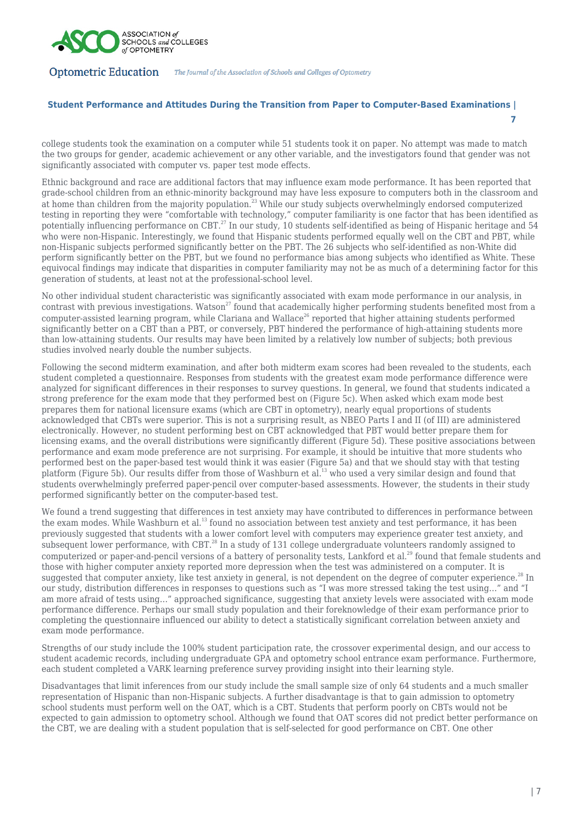

# **Student Performance and Attitudes During the Transition from Paper to Computer-Based Examinations |**

college students took the examination on a computer while 51 students took it on paper. No attempt was made to match the two groups for gender, academic achievement or any other variable, and the investigators found that gender was not significantly associated with computer vs. paper test mode effects.

Ethnic background and race are additional factors that may influence exam mode performance. It has been reported that grade-school children from an ethnic-minority background may have less exposure to computers both in the classroom and at home than children from the majority population.<sup>23</sup> While our study subjects overwhelmingly endorsed computerized testing in reporting they were "comfortable with technology," computer familiarity is one factor that has been identified as potentially influencing performance on CBT.<sup>27</sup> In our study, 10 students self-identified as being of Hispanic heritage and 54 who were non-Hispanic. Interestingly, we found that Hispanic students performed equally well on the CBT and PBT, while non-Hispanic subjects performed significantly better on the PBT. The 26 subjects who self-identified as non-White did perform significantly better on the PBT, but we found no performance bias among subjects who identified as White. These equivocal findings may indicate that disparities in computer familiarity may not be as much of a determining factor for this generation of students, at least not at the professional-school level.

No other individual student characteristic was significantly associated with exam mode performance in our analysis, in contrast with previous investigations. Watson<sup>27</sup> found that academically higher performing students benefited most from a computer-assisted learning program, while Clariana and Wallace<sup>26</sup> reported that higher attaining students performed significantly better on a CBT than a PBT, or conversely. PBT hindered the performance of high-attaining students more than low-attaining students. Our results may have been limited by a relatively low number of subjects; both previous studies involved nearly double the number subjects.

Following the second midterm examination, and after both midterm exam scores had been revealed to the students, each student completed a questionnaire. Responses from students with the greatest exam mode performance difference were analyzed for significant differences in their responses to survey questions. In general, we found that students indicated a strong preference for the exam mode that they performed best on (Figure 5c). When asked which exam mode best prepares them for national licensure exams (which are CBT in optometry), nearly equal proportions of students acknowledged that CBTs were superior. This is not a surprising result, as NBEO Parts I and II (of III) are administered electronically. However, no student performing best on CBT acknowledged that PBT would better prepare them for licensing exams, and the overall distributions were significantly different (Figure 5d). These positive associations between performance and exam mode preference are not surprising. For example, it should be intuitive that more students who performed best on the paper-based test would think it was easier (Figure 5a) and that we should stay with that testing platform (Figure 5b). Our results differ from those of Washburn et al.<sup>13</sup> who used a very similar design and found that students overwhelmingly preferred paper-pencil over computer-based assessments. However, the students in their study performed significantly better on the computer-based test.

We found a trend suggesting that differences in test anxiety may have contributed to differences in performance between the exam modes. While Washburn et al.<sup>13</sup> found no association between test anxiety and test performance, it has been previously suggested that students with a lower comfort level with computers may experience greater test anxiety, and subsequent lower performance, with CBT.<sup>28</sup> In a study of 131 college undergraduate volunteers randomly assigned to computerized or paper-and-pencil versions of a battery of personality tests, Lankford et al.<sup>29</sup> found that female students and those with higher computer anxiety reported more depression when the test was administered on a computer. It is suggested that computer anxiety, like test anxiety in general, is not dependent on the degree of computer experience.<sup>28</sup> In our study, distribution differences in responses to questions such as "I was more stressed taking the test using…" and "I am more afraid of tests using…" approached significance, suggesting that anxiety levels were associated with exam mode performance difference. Perhaps our small study population and their foreknowledge of their exam performance prior to completing the questionnaire influenced our ability to detect a statistically significant correlation between anxiety and exam mode performance.

Strengths of our study include the 100% student participation rate, the crossover experimental design, and our access to student academic records, including undergraduate GPA and optometry school entrance exam performance. Furthermore, each student completed a VARK learning preference survey providing insight into their learning style.

Disadvantages that limit inferences from our study include the small sample size of only 64 students and a much smaller representation of Hispanic than non-Hispanic subjects. A further disadvantage is that to gain admission to optometry school students must perform well on the OAT, which is a CBT. Students that perform poorly on CBTs would not be expected to gain admission to optometry school. Although we found that OAT scores did not predict better performance on the CBT, we are dealing with a student population that is self-selected for good performance on CBT. One other

**7**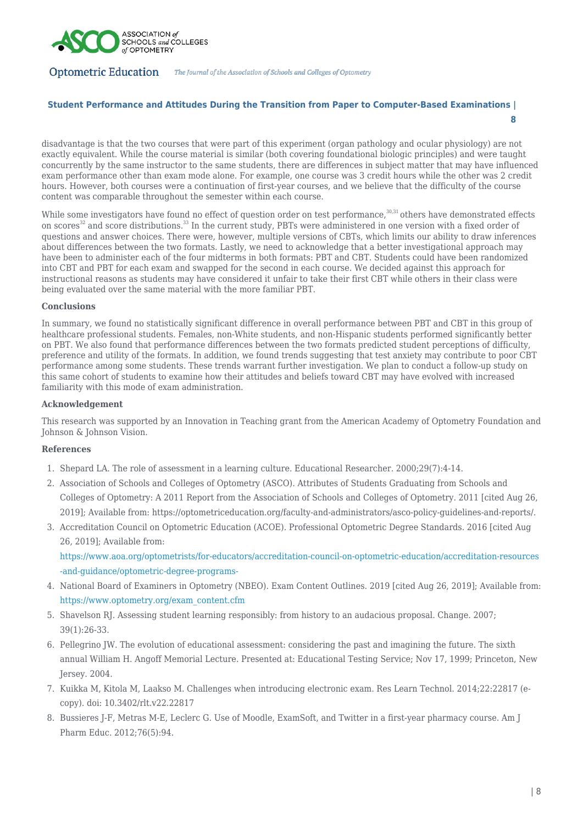

# **Student Performance and Attitudes During the Transition from Paper to Computer-Based Examinations | 8**

disadvantage is that the two courses that were part of this experiment (organ pathology and ocular physiology) are not exactly equivalent. While the course material is similar (both covering foundational biologic principles) and were taught concurrently by the same instructor to the same students, there are differences in subject matter that may have influenced exam performance other than exam mode alone. For example, one course was 3 credit hours while the other was 2 credit hours. However, both courses were a continuation of first-year courses, and we believe that the difficulty of the course content was comparable throughout the semester within each course.

While some investigators have found no effect of question order on test performance,<sup>30,31</sup> others have demonstrated effects on scores<sup>32</sup> and score distributions.<sup>33</sup> In the current study, PBTs were administered in one version with a fixed order of questions and answer choices. There were, however, multiple versions of CBTs, which limits our ability to draw inferences about differences between the two formats. Lastly, we need to acknowledge that a better investigational approach may have been to administer each of the four midterms in both formats: PBT and CBT. Students could have been randomized into CBT and PBT for each exam and swapped for the second in each course. We decided against this approach for instructional reasons as students may have considered it unfair to take their first CBT while others in their class were being evaluated over the same material with the more familiar PBT.

## **Conclusions**

In summary, we found no statistically significant difference in overall performance between PBT and CBT in this group of healthcare professional students. Females, non-White students, and non-Hispanic students performed significantly better on PBT. We also found that performance differences between the two formats predicted student perceptions of difficulty, preference and utility of the formats. In addition, we found trends suggesting that test anxiety may contribute to poor CBT performance among some students. These trends warrant further investigation. We plan to conduct a follow-up study on this same cohort of students to examine how their attitudes and beliefs toward CBT may have evolved with increased familiarity with this mode of exam administration.

# **Acknowledgement**

This research was supported by an Innovation in Teaching grant from the American Academy of Optometry Foundation and Johnson & Johnson Vision.

# **References**

- 1. Shepard LA. The role of assessment in a learning culture. Educational Researcher. 2000;29(7):4-14.
- 2. Association of Schools and Colleges of Optometry (ASCO). Attributes of Students Graduating from Schools and Colleges of Optometry: A 2011 Report from the Association of Schools and Colleges of Optometry. 2011 [cited Aug 26, 2019]; Available from: https://optometriceducation.org/faculty-and-administrators/asco-policy-guidelines-and-reports/.
- 3. Accreditation Council on Optometric Education (ACOE). Professional Optometric Degree Standards. 2016 [cited Aug 26, 2019]; Available from:

[https://www.aoa.org/optometrists/for-educators/accreditation-council-on-optometric-education/accreditation-resources](https://www.aoa.org/optometrists/for-educators/accreditation-council-on-optometric-education/accreditation-resources-and-guidance/optometric-degree-programs-) [-and-guidance/optometric-degree-programs-](https://www.aoa.org/optometrists/for-educators/accreditation-council-on-optometric-education/accreditation-resources-and-guidance/optometric-degree-programs-)

- 4. National Board of Examiners in Optometry (NBEO). Exam Content Outlines. 2019 [cited Aug 26, 2019]; Available from: [https://www.optometry.org/exam\\_content.cfm](https://www.optometry.org/exam_content.cfm)
- 5. Shavelson RJ. Assessing student learning responsibly: from history to an audacious proposal. Change. 2007; 39(1):26-33.
- 6. Pellegrino JW. The evolution of educational assessment: considering the past and imagining the future. The sixth annual William H. Angoff Memorial Lecture. Presented at: Educational Testing Service; Nov 17, 1999; Princeton, New Jersey. 2004.
- 7. Kuikka M, Kitola M, Laakso M. Challenges when introducing electronic exam. Res Learn Technol. 2014;22:22817 (ecopy). doi: 10.3402/rlt.v22.22817
- 8. Bussieres J-F, Metras M-E, Leclerc G. Use of Moodle, ExamSoft, and Twitter in a first-year pharmacy course. Am J Pharm Educ. 2012;76(5):94.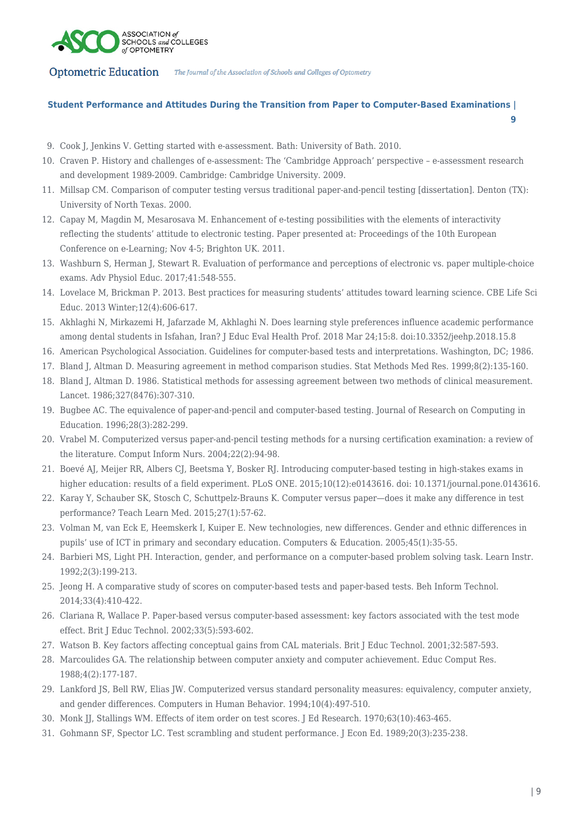

# **Student Performance and Attitudes During the Transition from Paper to Computer-Based Examinations | 9**

- 9. Cook J, Jenkins V. Getting started with e-assessment. Bath: University of Bath. 2010.
- 10. Craven P. History and challenges of e-assessment: The 'Cambridge Approach' perspective e-assessment research and development 1989-2009. Cambridge: Cambridge University. 2009.
- 11. Millsap CM. Comparison of computer testing versus traditional paper-and-pencil testing [dissertation]. Denton (TX): University of North Texas. 2000.
- 12. Capay M, Magdin M, Mesarosava M. Enhancement of e-testing possibilities with the elements of interactivity reflecting the students' attitude to electronic testing. Paper presented at: Proceedings of the 10th European Conference on e-Learning; Nov 4-5; Brighton UK. 2011.
- 13. Washburn S, Herman J, Stewart R. Evaluation of performance and perceptions of electronic vs. paper multiple-choice exams. Adv Physiol Educ. 2017;41:548-555.
- 14. Lovelace M, Brickman P. 2013. Best practices for measuring students' attitudes toward learning science. CBE Life Sci Educ. 2013 Winter;12(4):606-617.
- 15. Akhlaghi N, Mirkazemi H, Jafarzade M, Akhlaghi N. Does learning style preferences influence academic performance among dental students in Isfahan, Iran? J Educ Eval Health Prof. 2018 Mar 24;15:8. doi:10.3352/jeehp.2018.15.8
- 16. American Psychological Association. Guidelines for computer-based tests and interpretations. Washington, DC; 1986.
- 17. Bland J, Altman D. Measuring agreement in method comparison studies. Stat Methods Med Res. 1999;8(2):135-160.
- 18. Bland J, Altman D. 1986. Statistical methods for assessing agreement between two methods of clinical measurement. Lancet. 1986;327(8476):307-310.
- 19. Bugbee AC. The equivalence of paper-and-pencil and computer-based testing. Journal of Research on Computing in Education. 1996;28(3):282-299.
- 20. Vrabel M. Computerized versus paper-and-pencil testing methods for a nursing certification examination: a review of the literature. Comput Inform Nurs. 2004;22(2):94-98.
- 21. Boevé AJ, Meijer RR, Albers CJ, Beetsma Y, Bosker RJ. Introducing computer-based testing in high-stakes exams in higher education: results of a field experiment. PLoS ONE. 2015:10(12):e0143616. doi: 10.1371/journal.pone.0143616.
- 22. Karay Y, Schauber SK, Stosch C, Schuttpelz-Brauns K. Computer versus paper—does it make any difference in test performance? Teach Learn Med. 2015;27(1):57-62.
- 23. Volman M, van Eck E, Heemskerk I, Kuiper E. New technologies, new differences. Gender and ethnic differences in pupils' use of ICT in primary and secondary education. Computers & Education. 2005;45(1):35-55.
- 24. Barbieri MS, Light PH. Interaction, gender, and performance on a computer-based problem solving task. Learn Instr. 1992;2(3):199-213.
- 25. Jeong H. A comparative study of scores on computer-based tests and paper-based tests. Beh Inform Technol. 2014;33(4):410-422.
- 26. Clariana R, Wallace P. Paper-based versus computer-based assessment: key factors associated with the test mode effect. Brit J Educ Technol. 2002;33(5):593-602.
- 27. Watson B. Key factors affecting conceptual gains from CAL materials. Brit J Educ Technol. 2001;32:587-593.
- 28. Marcoulides GA. The relationship between computer anxiety and computer achievement. Educ Comput Res. 1988;4(2):177-187.
- 29. Lankford JS, Bell RW, Elias JW. Computerized versus standard personality measures: equivalency, computer anxiety, and gender differences. Computers in Human Behavior. 1994;10(4):497-510.
- 30. Monk JJ, Stallings WM. Effects of item order on test scores. J Ed Research. 1970;63(10):463-465.
- 31. Gohmann SF, Spector LC. Test scrambling and student performance. J Econ Ed. 1989;20(3):235-238.